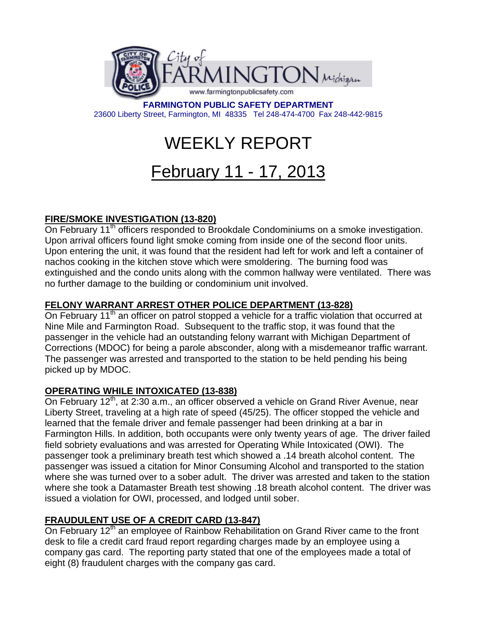

**FARMINGTON PUBLIC SAFETY DEPARTMENT**  23600 Liberty Street, Farmington, MI 48335 Tel 248-474-4700 Fax 248-442-9815

# WEEKLY REPORT

# February 11 - 17, 2013

# **FIRE/SMOKE INVESTIGATION (13-820)**

On February 11<sup>th</sup> officers responded to Brookdale Condominiums on a smoke investigation. Upon arrival officers found light smoke coming from inside one of the second floor units. Upon entering the unit, it was found that the resident had left for work and left a container of nachos cooking in the kitchen stove which were smoldering. The burning food was extinguished and the condo units along with the common hallway were ventilated. There was no further damage to the building or condominium unit involved.

# **FELONY WARRANT ARREST OTHER POLICE DEPARTMENT (13-828)**

On February 11<sup>th</sup> an officer on patrol stopped a vehicle for a traffic violation that occurred at Nine Mile and Farmington Road. Subsequent to the traffic stop, it was found that the passenger in the vehicle had an outstanding felony warrant with Michigan Department of Corrections (MDOC) for being a parole absconder, along with a misdemeanor traffic warrant. The passenger was arrested and transported to the station to be held pending his being picked up by MDOC.

## **OPERATING WHILE INTOXICATED (13-838)**

On February  $12<sup>th</sup>$ , at 2:30 a.m., an officer observed a vehicle on Grand River Avenue, near Liberty Street, traveling at a high rate of speed (45/25). The officer stopped the vehicle and learned that the female driver and female passenger had been drinking at a bar in Farmington Hills. In addition, both occupants were only twenty years of age. The driver failed field sobriety evaluations and was arrested for Operating While Intoxicated (OWI). The passenger took a preliminary breath test which showed a .14 breath alcohol content. The passenger was issued a citation for Minor Consuming Alcohol and transported to the station where she was turned over to a sober adult. The driver was arrested and taken to the station where she took a Datamaster Breath test showing .18 breath alcohol content. The driver was issued a violation for OWI, processed, and lodged until sober.

## **FRAUDULENT USE OF A CREDIT CARD (13-847)**

On February 12<sup>th</sup> an employee of Rainbow Rehabilitation on Grand River came to the front desk to file a credit card fraud report regarding charges made by an employee using a company gas card. The reporting party stated that one of the employees made a total of eight (8) fraudulent charges with the company gas card.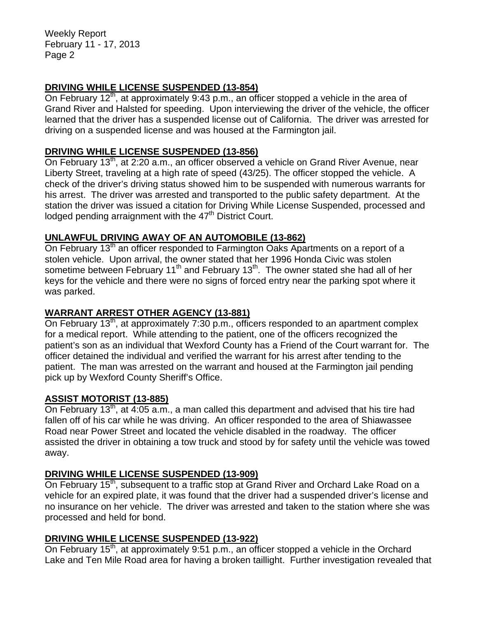Weekly Report February 11 - 17, 2013 Page 2

#### **DRIVING WHILE LICENSE SUSPENDED (13-854)**

On February 12<sup>th</sup>, at approximately 9:43 p.m., an officer stopped a vehicle in the area of Grand River and Halsted for speeding. Upon interviewing the driver of the vehicle, the officer learned that the driver has a suspended license out of California. The driver was arrested for driving on a suspended license and was housed at the Farmington jail.

#### **DRIVING WHILE LICENSE SUSPENDED (13-856)**

On February 13<sup>th</sup>, at 2:20 a.m., an officer observed a vehicle on Grand River Avenue, near Liberty Street, traveling at a high rate of speed (43/25). The officer stopped the vehicle. A check of the driver's driving status showed him to be suspended with numerous warrants for his arrest. The driver was arrested and transported to the public safety department. At the station the driver was issued a citation for Driving While License Suspended, processed and lodged pending arraignment with the  $47<sup>th</sup>$  District Court.

#### **UNLAWFUL DRIVING AWAY OF AN AUTOMOBILE (13-862)**

On February 13<sup>th</sup> an officer responded to Farmington Oaks Apartments on a report of a stolen vehicle. Upon arrival, the owner stated that her 1996 Honda Civic was stolen sometime between February 11<sup>th</sup> and February 13<sup>th</sup>. The owner stated she had all of her keys for the vehicle and there were no signs of forced entry near the parking spot where it was parked.

#### **WARRANT ARREST OTHER AGENCY (13-881)**

On February 13<sup>th</sup>, at approximately 7:30 p.m., officers responded to an apartment complex for a medical report. While attending to the patient, one of the officers recognized the patient's son as an individual that Wexford County has a Friend of the Court warrant for. The officer detained the individual and verified the warrant for his arrest after tending to the patient. The man was arrested on the warrant and housed at the Farmington jail pending pick up by Wexford County Sheriff's Office.

#### **ASSIST MOTORIST (13-885)**

On February 13<sup>th</sup>, at 4:05 a.m., a man called this department and advised that his tire had fallen off of his car while he was driving. An officer responded to the area of Shiawassee Road near Power Street and located the vehicle disabled in the roadway. The officer assisted the driver in obtaining a tow truck and stood by for safety until the vehicle was towed away.

#### **DRIVING WHILE LICENSE SUSPENDED (13-909)**

On February 15<sup>th</sup>, subsequent to a traffic stop at Grand River and Orchard Lake Road on a vehicle for an expired plate, it was found that the driver had a suspended driver's license and no insurance on her vehicle. The driver was arrested and taken to the station where she was processed and held for bond.

#### **DRIVING WHILE LICENSE SUSPENDED (13-922)**

On February  $15<sup>th</sup>$ , at approximately 9:51 p.m., an officer stopped a vehicle in the Orchard Lake and Ten Mile Road area for having a broken taillight. Further investigation revealed that